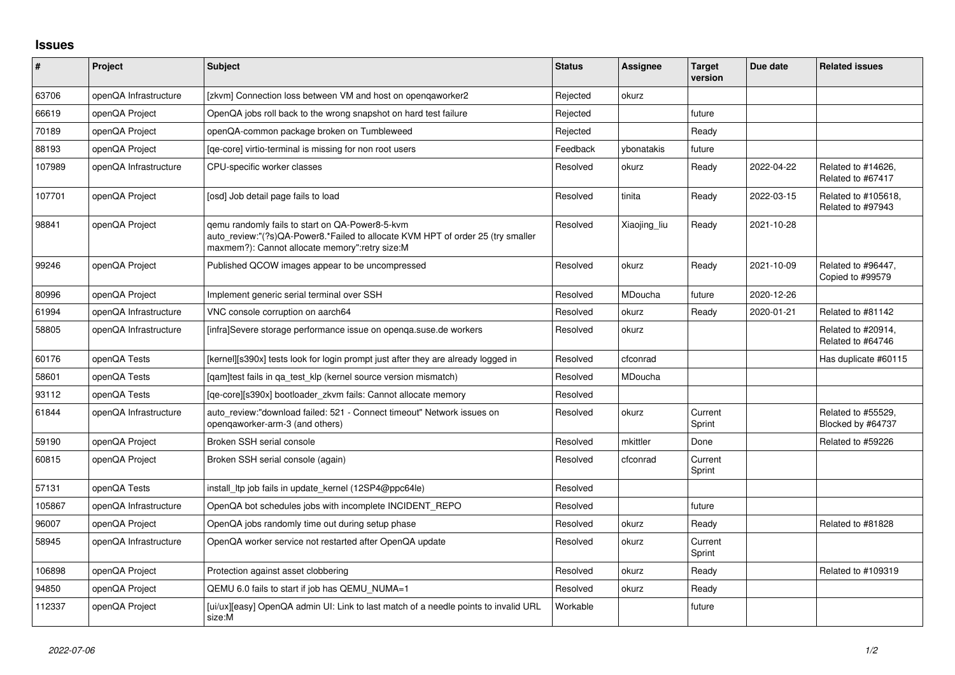## **Issues**

| #      | Project               | <b>Subject</b>                                                                                                                                                                       | <b>Status</b> | Assignee     | <b>Target</b><br>version | Due date   | <b>Related issues</b>                    |
|--------|-----------------------|--------------------------------------------------------------------------------------------------------------------------------------------------------------------------------------|---------------|--------------|--------------------------|------------|------------------------------------------|
| 63706  | openQA Infrastructure | [zkvm] Connection loss between VM and host on opengaworker2                                                                                                                          | Rejected      | okurz        |                          |            |                                          |
| 66619  | openQA Project        | OpenQA jobs roll back to the wrong snapshot on hard test failure                                                                                                                     | Rejected      |              | future                   |            |                                          |
| 70189  | openQA Project        | openQA-common package broken on Tumbleweed                                                                                                                                           | Rejected      |              | Ready                    |            |                                          |
| 88193  | openQA Project        | [qe-core] virtio-terminal is missing for non root users                                                                                                                              | Feedback      | vbonatakis   | future                   |            |                                          |
| 107989 | openQA Infrastructure | CPU-specific worker classes                                                                                                                                                          | Resolved      | okurz        | Ready                    | 2022-04-22 | Related to #14626,<br>Related to #67417  |
| 107701 | openQA Project        | [osd] Job detail page fails to load                                                                                                                                                  | Resolved      | tinita       | Ready                    | 2022-03-15 | Related to #105618,<br>Related to #97943 |
| 98841  | openQA Project        | gemu randomly fails to start on QA-Power8-5-kvm<br>auto_review:"(?s)QA-Power8.*Failed to allocate KVM HPT of order 25 (try smaller<br>maxmem?): Cannot allocate memory":retry size:M | Resolved      | Xiaojing_liu | Ready                    | 2021-10-28 |                                          |
| 99246  | openQA Project        | Published QCOW images appear to be uncompressed                                                                                                                                      | Resolved      | okurz        | Ready                    | 2021-10-09 | Related to #96447,<br>Copied to #99579   |
| 80996  | openQA Project        | Implement generic serial terminal over SSH                                                                                                                                           | Resolved      | MDoucha      | future                   | 2020-12-26 |                                          |
| 61994  | openQA Infrastructure | VNC console corruption on aarch64                                                                                                                                                    | Resolved      | okurz        | Ready                    | 2020-01-21 | Related to #81142                        |
| 58805  | openQA Infrastructure | [infra]Severe storage performance issue on openga.suse.de workers                                                                                                                    | Resolved      | okurz        |                          |            | Related to #20914,<br>Related to #64746  |
| 60176  | openQA Tests          | [kernel][s390x] tests look for login prompt just after they are already logged in                                                                                                    | Resolved      | cfconrad     |                          |            | Has duplicate #60115                     |
| 58601  | openQA Tests          | [gam]test fails in ga test klp (kernel source version mismatch)                                                                                                                      | Resolved      | MDoucha      |                          |            |                                          |
| 93112  | openQA Tests          | [ge-core][s390x] bootloader zkvm fails: Cannot allocate memory                                                                                                                       | Resolved      |              |                          |            |                                          |
| 61844  | openQA Infrastructure | auto review:"download failed: 521 - Connect timeout" Network issues on<br>opengaworker-arm-3 (and others)                                                                            | Resolved      | okurz        | Current<br>Sprint        |            | Related to #55529.<br>Blocked by #64737  |
| 59190  | openQA Project        | Broken SSH serial console                                                                                                                                                            | Resolved      | mkittler     | Done                     |            | Related to #59226                        |
| 60815  | openQA Project        | Broken SSH serial console (again)                                                                                                                                                    | Resolved      | cfconrad     | Current<br>Sprint        |            |                                          |
| 57131  | openQA Tests          | install Itp job fails in update kernel (12SP4@ppc64le)                                                                                                                               | Resolved      |              |                          |            |                                          |
| 105867 | openQA Infrastructure | OpenQA bot schedules jobs with incomplete INCIDENT_REPO                                                                                                                              | Resolved      |              | future                   |            |                                          |
| 96007  | openQA Project        | OpenQA jobs randomly time out during setup phase                                                                                                                                     | Resolved      | okurz        | Ready                    |            | Related to #81828                        |
| 58945  | openQA Infrastructure | OpenQA worker service not restarted after OpenQA update                                                                                                                              | Resolved      | okurz        | Current<br>Sprint        |            |                                          |
| 106898 | openQA Project        | Protection against asset clobbering                                                                                                                                                  | Resolved      | okurz        | Ready                    |            | Related to #109319                       |
| 94850  | openQA Project        | QEMU 6.0 fails to start if job has QEMU NUMA=1                                                                                                                                       | Resolved      | okurz        | Ready                    |            |                                          |
| 112337 | openQA Project        | [ui/ux][easy] OpenQA admin UI: Link to last match of a needle points to invalid URL<br>size:M                                                                                        | Workable      |              | future                   |            |                                          |